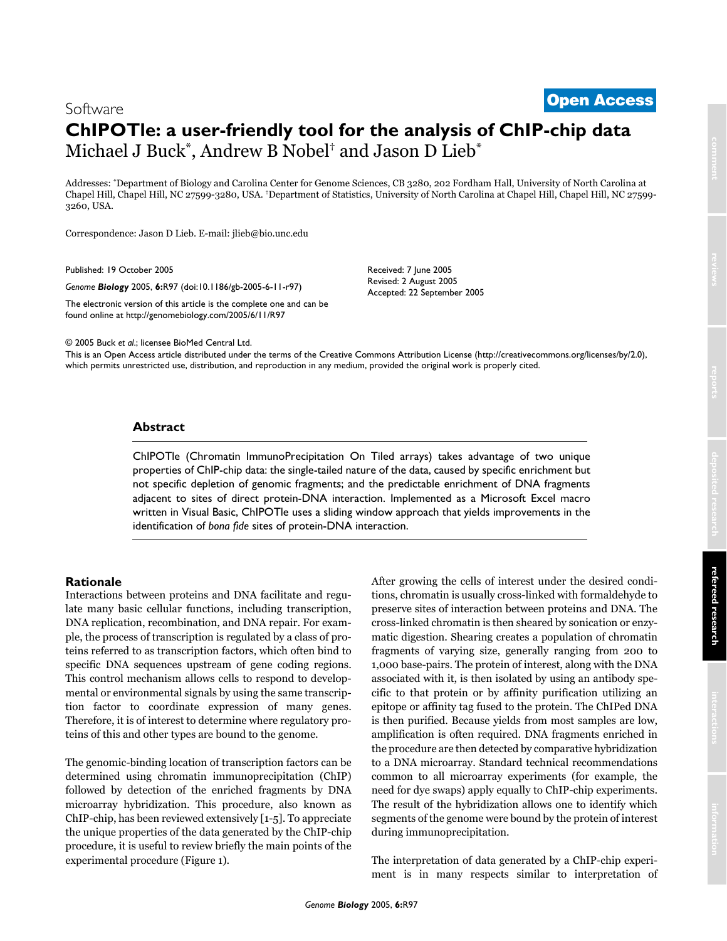# 2005 Bucket al. 2005 Bucket al. 2005 Bucket al. 2005 Bucket al. 2005 Bucket al. 2005 Bucket al. 2016 Bucket al. 2016 **ChIPOTle: a user-friendly tool for the analysis of ChIP-chip data** Michael J Buck\*, Andrew B Nobel† and Jason D Lieb\*

Addresses: \*Department of Biology and Carolina Center for Genome Sciences, CB 3280, 202 Fordham Hall, University of North Carolina at Chapel Hill, Chapel Hill, NC 27599-3280, USA. †Department of Statistics, University of North Carolina at Chapel Hill, Chapel Hill, NC 27599- 3260, USA.

> Received: 7 June 2005 Revised: 2 August 2005 Accepted: 22 September 2005

Correspondence: Jason D Lieb. E-mail: jlieb@bio.unc.edu

Published: 19 October 2005

*Genome Biology* 2005, **6:**R97 (doi:10.1186/gb-2005-6-11-r97)

[The electronic version of this article is the complete one and can be](http://genomebiology.com/2005/6/11/R97)  found online at http://genomebiology.com/2005/6/11/R97

© 2005 Buck *et al*.; licensee BioMed Central Ltd.

[This is an Open Access article distributed under the terms of the Creative Commons Attribution License \(http://creativecommons.org/licenses/by/2.0\),](http://creativecommons.org/licenses/by/2.0)  which permits unrestricted use, distribution, and reproduction in any medium, provided the original work is properly cited.

#### **Abstract**

ChIPOTle (Chromatin ImmunoPrecipitation On Tiled arrays) takes advantage of two unique properties of ChIP-chip data: the single-tailed nature of the data, caused by specific enrichment but not specific depletion of genomic fragments; and the predictable enrichment of DNA fragments adjacent to sites of direct protein-DNA interaction. Implemented as a Microsoft Excel macro written in Visual Basic, ChIPOTle uses a sliding window approach that yields improvements in the identification of *bona fide* sites of protein-DNA interaction.

## **Rationale**

Interactions between proteins and DNA facilitate and regulate many basic cellular functions, including transcription, DNA replication, recombination, and DNA repair. For example, the process of transcription is regulated by a class of proteins referred to as transcription factors, which often bind to specific DNA sequences upstream of gene coding regions. This control mechanism allows cells to respond to developmental or environmental signals by using the same transcription factor to coordinate expression of many genes. Therefore, it is of interest to determine where regulatory proteins of this and other types are bound to the genome.

The genomic-binding location of transcription factors can be determined using chromatin immunoprecipitation (ChIP) followed by detection of the enriched fragments by DNA microarray hybridization. This procedure, also known as ChIP-chip, has been reviewed extensively [1-5]. To appreciate the unique properties of the data generated by the ChIP-chip procedure, it is useful to review briefly the main points of the experimental procedure (Figure [1](#page-1-0)).

After growing the cells of interest under the desired conditions, chromatin is usually cross-linked with formaldehyde to preserve sites of interaction between proteins and DNA. The cross-linked chromatin is then sheared by sonication or enzymatic digestion. Shearing creates a population of chromatin fragments of varying size, generally ranging from 200 to 1,000 base-pairs. The protein of interest, along with the DNA associated with it, is then isolated by using an antibody specific to that protein or by affinity purification utilizing an epitope or affinity tag fused to the protein. The ChIPed DNA is then purified. Because yields from most samples are low, amplification is often required. DNA fragments enriched in the procedure are then detected by comparative hybridization to a DNA microarray. Standard technical recommendations common to all microarray experiments (for example, the need for dye swaps) apply equally to ChIP-chip experiments. The result of the hybridization allows one to identify which segments of the genome were bound by the protein of interest during immunoprecipitation.

The interpretation of data generated by a ChIP-chip experiment is in many respects similar to interpretation of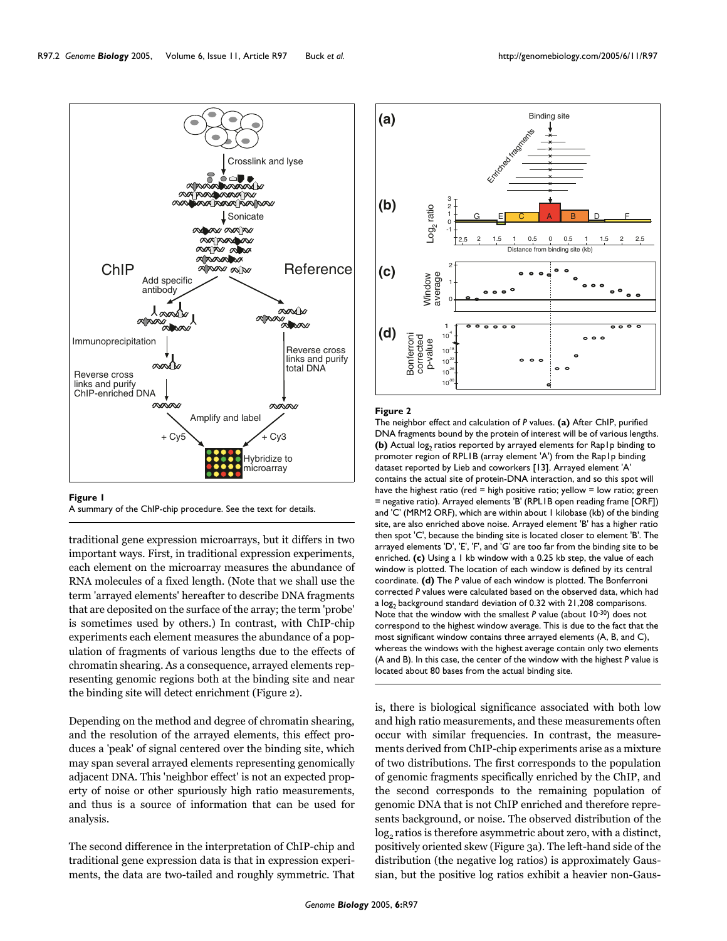<span id="page-1-0"></span>

#### **Figure 1**

A summary of the ChIP-chip procedure. See the text for details.

traditional gene expression microarrays, but it differs in two important ways. First, in traditional expression experiments, each element on the microarray measures the abundance of RNA molecules of a fixed length. (Note that we shall use the term 'arrayed elements' hereafter to describe DNA fragments that are deposited on the surface of the array; the term 'probe' is sometimes used by others.) In contrast, with ChIP-chip experiments each element measures the abundance of a population of fragments of various lengths due to the effects of chromatin shearing. As a consequence, arrayed elements representing genomic regions both at the binding site and near the binding site will detect enrichment (Figure 2).

Depending on the method and degree of chromatin shearing, and the resolution of the arrayed elements, this effect produces a 'peak' of signal centered over the binding site, which may span several arrayed elements representing genomically adjacent DNA. This 'neighbor effect' is not an expected property of noise or other spuriously high ratio measurements, and thus is a source of information that can be used for analysis.

The second difference in the interpretation of ChIP-chip and traditional gene expression data is that in expression experiments, the data are two-tailed and roughly symmetric. That



#### Figure 2

The neighbor effect and calculation of *P* values. **(a)** After ChIP, purified DNA fragments bound by the protein of interest will be of various lengths. **(b)** Actual log<sub>2</sub> ratios reported by arrayed elements for Rap1p binding to promoter region of RPL1B (array element 'A') from the Rap1p binding dataset reported by Lieb and coworkers [13]. Arrayed element 'A' contains the actual site of protein-DNA interaction, and so this spot will have the highest ratio (red  $=$  high positive ratio; yellow  $=$  low ratio; green = negative ratio). Arrayed elements 'B' (RPL1B open reading frame [ORF]) and 'C' (MRM2 ORF), which are within about 1 kilobase (kb) of the binding site, are also enriched above noise. Arrayed element 'B' has a higher ratio then spot 'C', because the binding site is located closer to element 'B'. The arrayed elements 'D', 'E', 'F', and 'G' are too far from the binding site to be enriched. **(c)** Using a 1 kb window with a 0.25 kb step, the value of each window is plotted. The location of each window is defined by its central coordinate. **(d)** The *P* value of each window is plotted. The Bonferroni corrected *P* values were calculated based on the observed data, which had a log<sub>2</sub> background standard deviation of 0.32 with 21,208 comparisons. Note that the window with the smallest *P* value (about 10-30) does not correspond to the highest window average. This is due to the fact that the most significant window contains three arrayed elements (A, B, and C), whereas the windows with the highest average contain only two elements (A and B). In this case, the center of the window with the highest *P* value is located about 80 bases from the actual binding site.

is, there is biological significance associated with both low and high ratio measurements, and these measurements often occur with similar frequencies. In contrast, the measurements derived from ChIP-chip experiments arise as a mixture of two distributions. The first corresponds to the population of genomic fragments specifically enriched by the ChIP, and the second corresponds to the remaining population of genomic DNA that is not ChIP enriched and therefore represents background, or noise. The observed distribution of the log<sub>2</sub> ratios is therefore asymmetric about zero, with a distinct, positively oriented skew (Figure 3a). The left-hand side of the distribution (the negative log ratios) is approximately Gaussian, but the positive log ratios exhibit a heavier non-Gaus-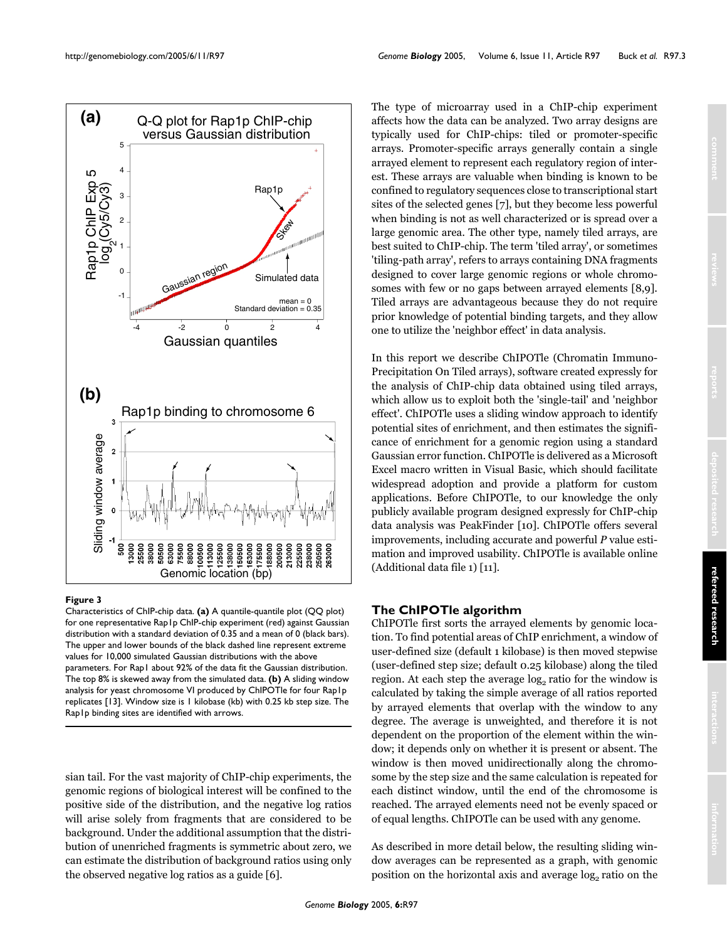

#### **Figure 3**

Characteristics of ChIP-chip data. **(a)** A quantile-quantile plot (QQ plot) for one representative Rap1p ChIP-chip experiment (red) against Gaussian distribution with a standard deviation of 0.35 and a mean of 0 (black bars). The upper and lower bounds of the black dashed line represent extreme values for 10,000 simulated Gaussian distributions with the above parameters. For Rap1 about 92% of the data fit the Gaussian distribution. The top 8% is skewed away from the simulated data. **(b)** A sliding window analysis for yeast chromosome VI produced by ChIPOTle for four Rap1p replicates [13]. Window size is 1 kilobase (kb) with 0.25 kb step size. The Rap1p binding sites are identified with arrows.

sian tail. For the vast majority of ChIP-chip experiments, the genomic regions of biological interest will be confined to the positive side of the distribution, and the negative log ratios will arise solely from fragments that are considered to be background. Under the additional assumption that the distribution of unenriched fragments is symmetric about zero, we can estimate the distribution of background ratios using only the observed negative log ratios as a guide [6].

The type of microarray used in a ChIP-chip experiment affects how the data can be analyzed. Two array designs are typically used for ChIP-chips: tiled or promoter-specific arrays. Promoter-specific arrays generally contain a single arrayed element to represent each regulatory region of interest. These arrays are valuable when binding is known to be confined to regulatory sequences close to transcriptional start sites of the selected genes [7], but they become less powerful when binding is not as well characterized or is spread over a large genomic area. The other type, namely tiled arrays, are best suited to ChIP-chip. The term 'tiled array', or sometimes 'tiling-path array', refers to arrays containing DNA fragments designed to cover large genomic regions or whole chromosomes with few or no gaps between arrayed elements [8,9]. Tiled arrays are advantageous because they do not require prior knowledge of potential binding targets, and they allow one to utilize the 'neighbor effect' in data analysis.

In this report we describe ChIPOTle (Chromatin Immuno-Precipitation On Tiled arrays), software created expressly for the analysis of ChIP-chip data obtained using tiled arrays, which allow us to exploit both the 'single-tail' and 'neighbor effect'. ChIPOTle uses a sliding window approach to identify potential sites of enrichment, and then estimates the significance of enrichment for a genomic region using a standard Gaussian error function. ChIPOTle is delivered as a Microsoft Excel macro written in Visual Basic, which should facilitate widespread adoption and provide a platform for custom applications. Before ChIPOTle, to our knowledge the only publicly available program designed expressly for ChIP-chip data analysis was PeakFinder [10]. ChIPOTle offers several improvements, including accurate and powerful *P* value estimation and improved usability. ChIPOTle is available online (Additional data file 1) [11].

## **The ChIPOTle algorithm**

ChIPOTle first sorts the arrayed elements by genomic location. To find potential areas of ChIP enrichment, a window of user-defined size (default 1 kilobase) is then moved stepwise (user-defined step size; default 0.25 kilobase) along the tiled region. At each step the average  $log<sub>2</sub>$  ratio for the window is calculated by taking the simple average of all ratios reported by arrayed elements that overlap with the window to any degree. The average is unweighted, and therefore it is not dependent on the proportion of the element within the window; it depends only on whether it is present or absent. The window is then moved unidirectionally along the chromosome by the step size and the same calculation is repeated for each distinct window, until the end of the chromosome is reached. The arrayed elements need not be evenly spaced or of equal lengths. ChIPOTle can be used with any genome.

As described in more detail below, the resulting sliding window averages can be represented as a graph, with genomic position on the horizontal axis and average  $log<sub>2</sub>$  ratio on the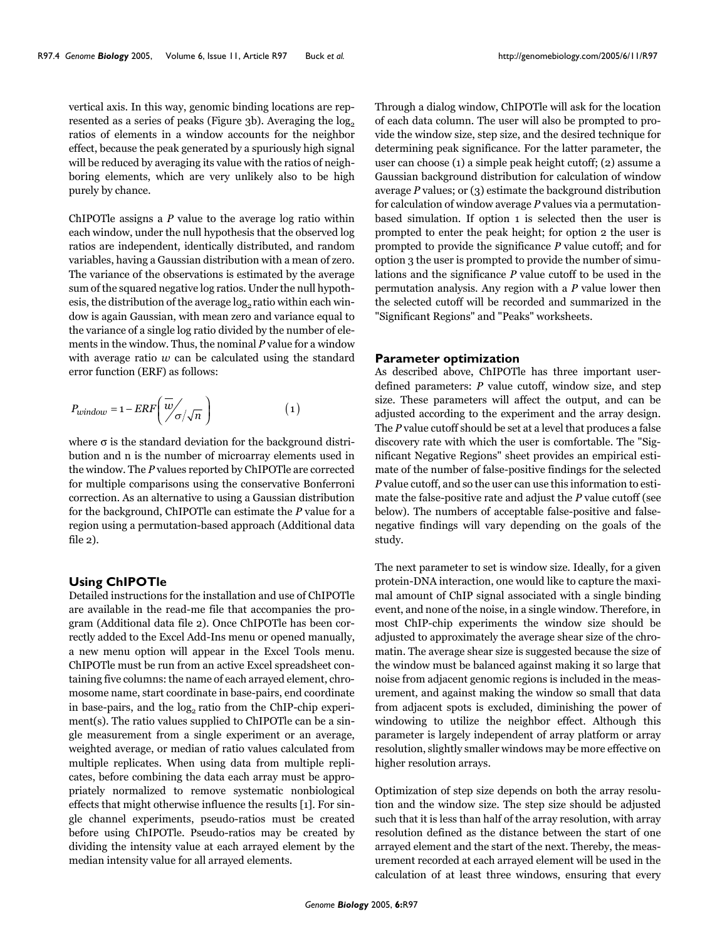vertical axis. In this way, genomic binding locations are represented as a series of peaks (Figure 3b). Averaging the  $log<sub>2</sub>$ ratios of elements in a window accounts for the neighbor effect, because the peak generated by a spuriously high signal will be reduced by averaging its value with the ratios of neighboring elements, which are very unlikely also to be high purely by chance.

ChIPOTle assigns a *P* value to the average log ratio within each window, under the null hypothesis that the observed log ratios are independent, identically distributed, and random variables, having a Gaussian distribution with a mean of zero. The variance of the observations is estimated by the average sum of the squared negative log ratios. Under the null hypothesis, the distribution of the average  $log<sub>2</sub>$  ratio within each window is again Gaussian, with mean zero and variance equal to the variance of a single log ratio divided by the number of elements in the window. Thus, the nominal *P* value for a window with average ratio *w* can be calculated using the standard error function (ERF) as follows:

$$
P_{window} = 1 - ERF\left(\frac{w}{\sigma/\sqrt{n}}\right) \tag{1}
$$

where  $\sigma$  is the standard deviation for the background distribution and n is the number of microarray elements used in the window. The *P* values reported by ChIPOTle are corrected for multiple comparisons using the conservative Bonferroni correction. As an alternative to using a Gaussian distribution for the background, ChIPOTle can estimate the *P* value for a region using a permutation-based approach (Additional data file 2).

## **Using ChIPOTle**

Detailed instructions for the installation and use of ChIPOTle are available in the read-me file that accompanies the program (Additional data file 2). Once ChIPOTle has been correctly added to the Excel Add-Ins menu or opened manually, a new menu option will appear in the Excel Tools menu. ChIPOTle must be run from an active Excel spreadsheet containing five columns: the name of each arrayed element, chromosome name, start coordinate in base-pairs, end coordinate in base-pairs, and the  $log<sub>2</sub>$  ratio from the ChIP-chip experiment(s). The ratio values supplied to ChIPOTle can be a single measurement from a single experiment or an average, weighted average, or median of ratio values calculated from multiple replicates. When using data from multiple replicates, before combining the data each array must be appropriately normalized to remove systematic nonbiological effects that might otherwise influence the results [1]. For single channel experiments, pseudo-ratios must be created before using ChIPOTle. Pseudo-ratios may be created by dividing the intensity value at each arrayed element by the median intensity value for all arrayed elements.

Through a dialog window, ChIPOTle will ask for the location of each data column. The user will also be prompted to provide the window size, step size, and the desired technique for determining peak significance. For the latter parameter, the user can choose (1) a simple peak height cutoff; (2) assume a Gaussian background distribution for calculation of window average *P* values; or (3) estimate the background distribution for calculation of window average *P* values via a permutationbased simulation. If option 1 is selected then the user is prompted to enter the peak height; for option 2 the user is prompted to provide the significance *P* value cutoff; and for option 3 the user is prompted to provide the number of simulations and the significance *P* value cutoff to be used in the permutation analysis. Any region with a *P* value lower then the selected cutoff will be recorded and summarized in the "Significant Regions" and "Peaks" worksheets.

## **Parameter optimization**

As described above, ChIPOTle has three important userdefined parameters: *P* value cutoff, window size, and step size. These parameters will affect the output, and can be adjusted according to the experiment and the array design. The *P* value cutoff should be set at a level that produces a false discovery rate with which the user is comfortable. The "Significant Negative Regions" sheet provides an empirical estimate of the number of false-positive findings for the selected *P* value cutoff, and so the user can use this information to estimate the false-positive rate and adjust the *P* value cutoff (see below). The numbers of acceptable false-positive and falsenegative findings will vary depending on the goals of the study.

The next parameter to set is window size. Ideally, for a given protein-DNA interaction, one would like to capture the maximal amount of ChIP signal associated with a single binding event, and none of the noise, in a single window. Therefore, in most ChIP-chip experiments the window size should be adjusted to approximately the average shear size of the chromatin. The average shear size is suggested because the size of the window must be balanced against making it so large that noise from adjacent genomic regions is included in the measurement, and against making the window so small that data from adjacent spots is excluded, diminishing the power of windowing to utilize the neighbor effect. Although this parameter is largely independent of array platform or array resolution, slightly smaller windows may be more effective on higher resolution arrays.

Optimization of step size depends on both the array resolution and the window size. The step size should be adjusted such that it is less than half of the array resolution, with array resolution defined as the distance between the start of one arrayed element and the start of the next. Thereby, the measurement recorded at each arrayed element will be used in the calculation of at least three windows, ensuring that every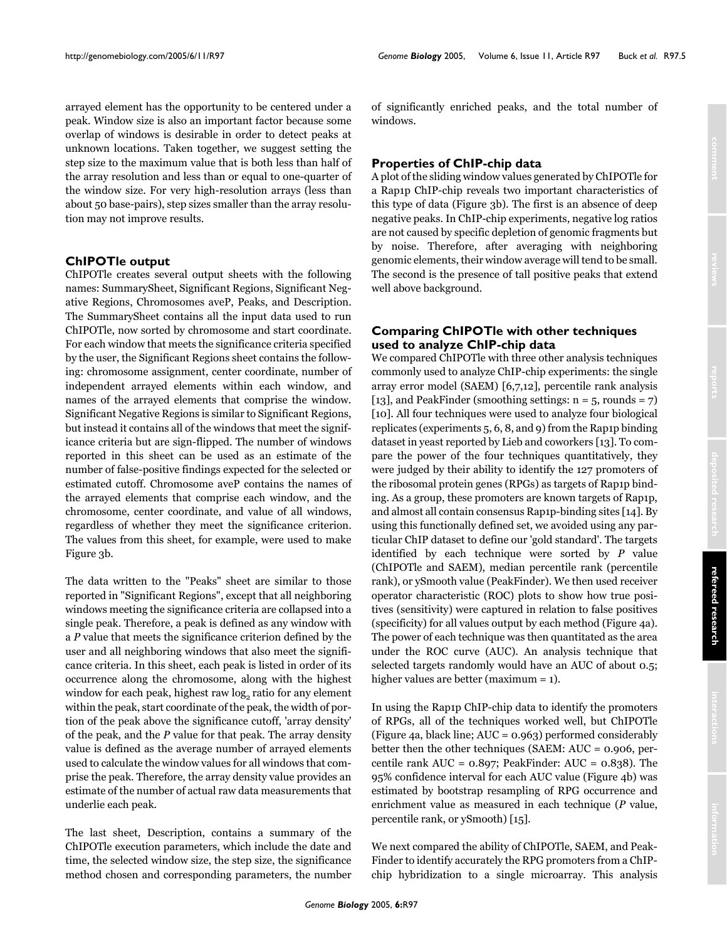arrayed element has the opportunity to be centered under a peak. Window size is also an important factor because some overlap of windows is desirable in order to detect peaks at unknown locations. Taken together, we suggest setting the step size to the maximum value that is both less than half of the array resolution and less than or equal to one-quarter of the window size. For very high-resolution arrays (less than about 50 base-pairs), step sizes smaller than the array resolution may not improve results.

# **ChIPOTle output**

ChIPOTle creates several output sheets with the following names: SummarySheet, Significant Regions, Significant Negative Regions, Chromosomes aveP, Peaks, and Description. The SummarySheet contains all the input data used to run ChIPOTle, now sorted by chromosome and start coordinate. For each window that meets the significance criteria specified by the user, the Significant Regions sheet contains the following: chromosome assignment, center coordinate, number of independent arrayed elements within each window, and names of the arrayed elements that comprise the window. Significant Negative Regions is similar to Significant Regions, but instead it contains all of the windows that meet the significance criteria but are sign-flipped. The number of windows reported in this sheet can be used as an estimate of the number of false-positive findings expected for the selected or estimated cutoff. Chromosome aveP contains the names of the arrayed elements that comprise each window, and the chromosome, center coordinate, and value of all windows, regardless of whether they meet the significance criterion. The values from this sheet, for example, were used to make Figure 3b.

The data written to the "Peaks" sheet are similar to those reported in "Significant Regions", except that all neighboring windows meeting the significance criteria are collapsed into a single peak. Therefore, a peak is defined as any window with a *P* value that meets the significance criterion defined by the user and all neighboring windows that also meet the significance criteria. In this sheet, each peak is listed in order of its occurrence along the chromosome, along with the highest window for each peak, highest raw log<sub>2</sub> ratio for any element within the peak, start coordinate of the peak, the width of portion of the peak above the significance cutoff, 'array density' of the peak, and the *P* value for that peak. The array density value is defined as the average number of arrayed elements used to calculate the window values for all windows that comprise the peak. Therefore, the array density value provides an estimate of the number of actual raw data measurements that underlie each peak.

The last sheet, Description, contains a summary of the ChIPOTle execution parameters, which include the date and time, the selected window size, the step size, the significance method chosen and corresponding parameters, the number

of significantly enriched peaks, and the total number of windows.

## **Properties of ChIP-chip data**

A plot of the sliding window values generated by ChIPOTle for a Rap1p ChIP-chip reveals two important characteristics of this type of data (Figure 3b). The first is an absence of deep negative peaks. In ChIP-chip experiments, negative log ratios are not caused by specific depletion of genomic fragments but by noise. Therefore, after averaging with neighboring genomic elements, their window average will tend to be small. The second is the presence of tall positive peaks that extend well above background.

## **Comparing ChIPOTle with other techniques used to analyze ChIP-chip data**

We compared ChIPOTle with three other analysis techniques commonly used to analyze ChIP-chip experiments: the single array error model (SAEM) [6,7,12], percentile rank analysis [13], and PeakFinder (smoothing settings:  $n = 5$ , rounds = 7) [10]. All four techniques were used to analyze four biological replicates (experiments 5, 6, 8, and 9) from the Rap1p binding dataset in yeast reported by Lieb and coworkers [13]. To compare the power of the four techniques quantitatively, they were judged by their ability to identify the 127 promoters of the ribosomal protein genes (RPGs) as targets of Rap1p binding. As a group, these promoters are known targets of Rap1p, and almost all contain consensus Rap1p-binding sites [14]. By using this functionally defined set, we avoided using any particular ChIP dataset to define our 'gold standard'. The targets identified by each technique were sorted by *P* value (ChIPOTle and SAEM), median percentile rank (percentile rank), or ySmooth value (PeakFinder). We then used receiver operator characteristic (ROC) plots to show how true positives (sensitivity) were captured in relation to false positives (specificity) for all values output by each method (Figure [4a](#page-5-0)). The power of each technique was then quantitated as the area under the ROC curve (AUC). An analysis technique that selected targets randomly would have an AUC of about 0.5; higher values are better (maximum = 1).

In using the Rap1p ChIP-chip data to identify the promoters of RPGs, all of the techniques worked well, but ChIPOTle (Figure [4a](#page-5-0), black line; AUC = 0.963) performed considerably better then the other techniques (SAEM: AUC = 0.906, percentile rank  $AUC = 0.897$ ; PeakFinder:  $AUC = 0.838$ ). The 95% confidence interval for each AUC value (Figure [4b](#page-5-0)) was estimated by bootstrap resampling of RPG occurrence and enrichment value as measured in each technique (*P* value, percentile rank, or ySmooth) [15].

We next compared the ability of ChIPOTle, SAEM, and Peak-Finder to identify accurately the RPG promoters from a ChIPchip hybridization to a single microarray. This analysis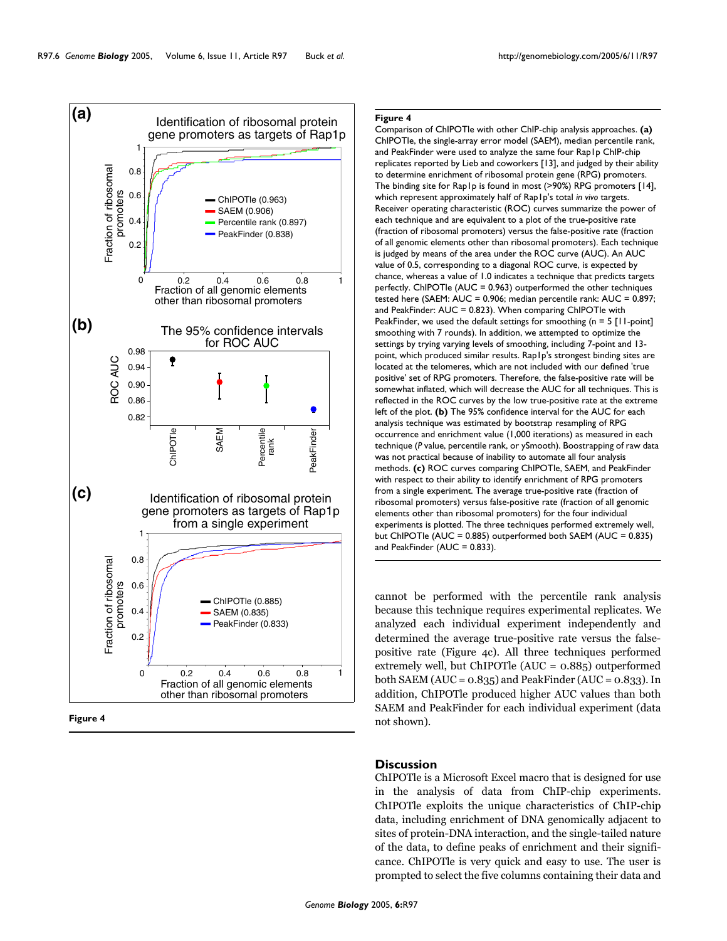<span id="page-5-0"></span>

**Figure 4**

#### Figure 4

Comparison of ChIPOTle with other ChIP-chip analysis approaches. **(a)**  ChIPOTle, the single-array error model (SAEM), median percentile rank, and PeakFinder were used to analyze the same four Rap1p ChIP-chip replicates reported by Lieb and coworkers [13], and judged by their ability to determine enrichment of ribosomal protein gene (RPG) promoters. The binding site for Rap1p is found in most (>90%) RPG promoters [14], which represent approximately half of Rap1p's total *in vivo* targets. Receiver operating characteristic (ROC) curves summarize the power of each technique and are equivalent to a plot of the true-positive rate (fraction of ribosomal promoters) versus the false-positive rate (fraction of all genomic elements other than ribosomal promoters). Each technique is judged by means of the area under the ROC curve (AUC). An AUC value of 0.5, corresponding to a diagonal ROC curve, is expected by chance, whereas a value of 1.0 indicates a technique that predicts targets perfectly. ChIPOTle (AUC = 0.963) outperformed the other techniques tested here (SAEM: AUC = 0.906; median percentile rank: AUC = 0.897; and PeakFinder: AUC = 0.823). When comparing ChIPOTle with PeakFinder, we used the default settings for smoothing  $(n = 5 [11-point]$ smoothing with 7 rounds). In addition, we attempted to optimize the settings by trying varying levels of smoothing, including 7-point and 13 point, which produced similar results. Rap1p's strongest binding sites are located at the telomeres, which are not included with our defined 'true positive' set of RPG promoters. Therefore, the false-positive rate will be somewhat inflated, which will decrease the AUC for all techniques. This is reflected in the ROC curves by the low true-positive rate at the extreme left of the plot. **(b)** The 95% confidence interval for the AUC for each analysis technique was estimated by bootstrap resampling of RPG occurrence and enrichment value (1,000 iterations) as measured in each technique (*P* value, percentile rank, or ySmooth). Boostrapping of raw data was not practical because of inability to automate all four analysis methods. **(c)** ROC curves comparing ChIPOTle, SAEM, and PeakFinder with respect to their ability to identify enrichment of RPG promoters from a single experiment. The average true-positive rate (fraction of ribosomal promoters) versus false-positive rate (fraction of all genomic elements other than ribosomal promoters) for the four individual experiments is plotted. The three techniques performed extremely well, but ChIPOTle (AUC = 0.885) outperformed both SAEM (AUC = 0.835) and PeakFinder (AUC = 0.833).

cannot be performed with the percentile rank analysis because this technique requires experimental replicates. We analyzed each individual experiment independently and determined the average true-positive rate versus the falsepositive rate (Figure [4c](#page-5-0)). All three techniques performed extremely well, but ChIPOTle (AUC = 0.885) outperformed both SAEM (AUC =  $0.835$ ) and PeakFinder (AUC =  $0.833$ ). In addition, ChIPOTle produced higher AUC values than both SAEM and PeakFinder for each individual experiment (data not shown).

#### **Discussion**

ChIPOTle is a Microsoft Excel macro that is designed for use in the analysis of data from ChIP-chip experiments. ChIPOTle exploits the unique characteristics of ChIP-chip data, including enrichment of DNA genomically adjacent to sites of protein-DNA interaction, and the single-tailed nature of the data, to define peaks of enrichment and their significance. ChIPOTle is very quick and easy to use. The user is prompted to select the five columns containing their data and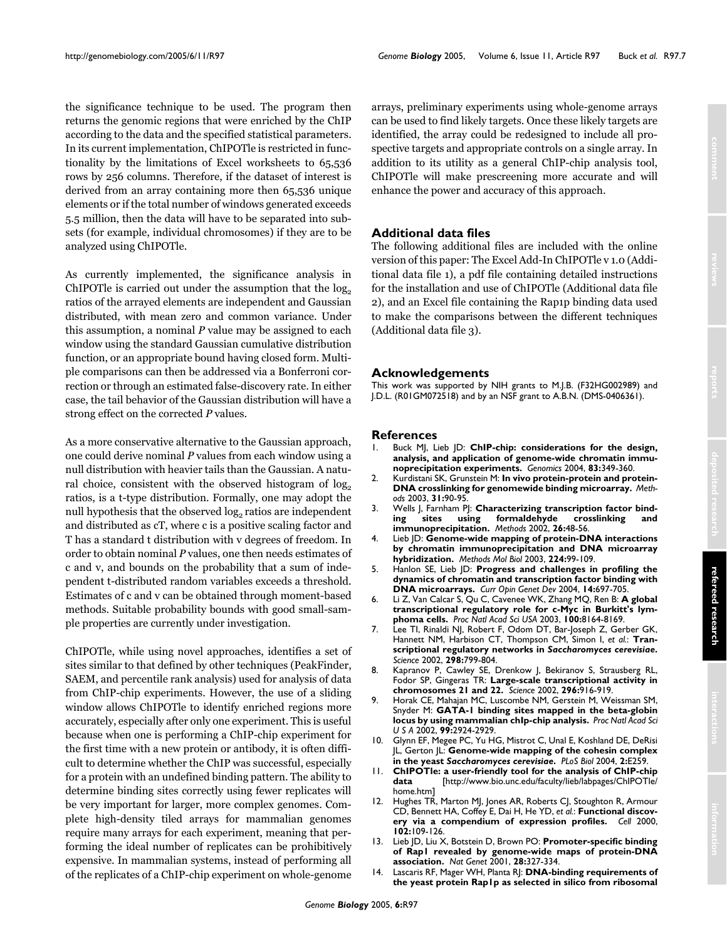the significance technique to be used. The program then returns the genomic regions that were enriched by the ChIP according to the data and the specified statistical parameters. In its current implementation, ChIPOTle is restricted in functionality by the limitations of Excel worksheets to 65,536 rows by 256 columns. Therefore, if the dataset of interest is derived from an array containing more then 65,536 unique elements or if the total number of windows generated exceeds 5.5 million, then the data will have to be separated into subsets (for example, individual chromosomes) if they are to be analyzed using ChIPOTle.

As currently implemented, the significance analysis in ChIPOTle is carried out under the assumption that the  $log<sub>2</sub>$ ratios of the arrayed elements are independent and Gaussian distributed, with mean zero and common variance. Under this assumption, a nominal *P* value may be assigned to each window using the standard Gaussian cumulative distribution function, or an appropriate bound having closed form. Multiple comparisons can then be addressed via a Bonferroni correction or through an estimated false-discovery rate. In either case, the tail behavior of the Gaussian distribution will have a strong effect on the corrected *P* values.

As a more conservative alternative to the Gaussian approach, one could derive nominal *P* values from each window using a null distribution with heavier tails than the Gaussian. A natural choice, consistent with the observed histogram of log<sub>2</sub> ratios, is a t-type distribution. Formally, one may adopt the null hypothesis that the observed log<sub>2</sub> ratios are independent and distributed as cT, where c is a positive scaling factor and T has a standard t distribution with v degrees of freedom. In order to obtain nominal *P* values, one then needs estimates of c and v, and bounds on the probability that a sum of independent t-distributed random variables exceeds a threshold. Estimates of c and v can be obtained through moment-based methods. Suitable probability bounds with good small-sample properties are currently under investigation.

ChIPOTle, while using novel approaches, identifies a set of sites similar to that defined by other techniques (PeakFinder, SAEM, and percentile rank analysis) used for analysis of data from ChIP-chip experiments. However, the use of a sliding window allows ChIPOTle to identify enriched regions more accurately, especially after only one experiment. This is useful because when one is performing a ChIP-chip experiment for the first time with a new protein or antibody, it is often difficult to determine whether the ChIP was successful, especially for a protein with an undefined binding pattern. The ability to determine binding sites correctly using fewer replicates will be very important for larger, more complex genomes. Complete high-density tiled arrays for mammalian genomes require many arrays for each experiment, meaning that performing the ideal number of replicates can be prohibitively expensive. In mammalian systems, instead of performing all of the replicates of a ChIP-chip experiment on whole-genome

arrays, preliminary experiments using whole-genome arrays can be used to find likely targets. Once these likely targets are identified, the array could be redesigned to include all prospective targets and appropriate controls on a single array. In addition to its utility as a general ChIP-chip analysis tool, ChIPOTle will make prescreening more accurate and will enhance the power and accuracy of this approach.

# **Additional data files**

The following additional files are included with the online version of this paper: The Excel Add-In ChIPOTle v 1.0 (Additional data file 1), a pdf file containing detailed instructions for the installation and use of ChIPOTle (Additional data file 2), and an Excel file containing the Rap1p binding data used to make the comparisons between the different techniques (Additional data file 3).

## **Acknowledgements**

This work was supported by NIH grants to M.J.B. (F32HG002989) and J.D.L. (R01GM072518) and by an NSF grant to A.B.N. (DMS-0406361).

## **References**

- 1. Buck MJ, Lieb JD: **[ChIP-chip: considerations for the design,](http://www.ncbi.nlm.nih.gov/entrez/query.fcgi?cmd=Retrieve&db=PubMed&dopt=Abstract&list_uids=14986705) [analysis, and application of genome-wide chromatin immu](http://www.ncbi.nlm.nih.gov/entrez/query.fcgi?cmd=Retrieve&db=PubMed&dopt=Abstract&list_uids=14986705)[noprecipitation experiments.](http://www.ncbi.nlm.nih.gov/entrez/query.fcgi?cmd=Retrieve&db=PubMed&dopt=Abstract&list_uids=14986705)** *Genomics* 2004, **83:**349-360.
- 2. Kurdistani SK, Grunstein M: **[In vivo protein-protein and protein-](http://www.ncbi.nlm.nih.gov/entrez/query.fcgi?cmd=Retrieve&db=PubMed&dopt=Abstract&list_uids=12893178)[DNA crosslinking for genomewide binding microarray.](http://www.ncbi.nlm.nih.gov/entrez/query.fcgi?cmd=Retrieve&db=PubMed&dopt=Abstract&list_uids=12893178)** *Methods* 2003, **31:**90-95.
- 3. Wells J, Farnham PJ: **Characterizing transcription factor bind-**<br> **ing** sites using formaldehyde crosslinking and **[ing sites using formaldehyde crosslinking and](http://www.ncbi.nlm.nih.gov/entrez/query.fcgi?cmd=Retrieve&db=PubMed&dopt=Abstract&list_uids=12054904) [immunoprecipitation.](http://www.ncbi.nlm.nih.gov/entrez/query.fcgi?cmd=Retrieve&db=PubMed&dopt=Abstract&list_uids=12054904)** *Methods* 2002, **26:**48-56.
- 4. Lieb JD: **[Genome-wide mapping of protein-DNA interactions](http://www.ncbi.nlm.nih.gov/entrez/query.fcgi?cmd=Retrieve&db=PubMed&dopt=Abstract&list_uids=12710669) [by chromatin immunoprecipitation and DNA microarray](http://www.ncbi.nlm.nih.gov/entrez/query.fcgi?cmd=Retrieve&db=PubMed&dopt=Abstract&list_uids=12710669) [hybridization.](http://www.ncbi.nlm.nih.gov/entrez/query.fcgi?cmd=Retrieve&db=PubMed&dopt=Abstract&list_uids=12710669)** *Methods Mol Biol* 2003, **224:**99-109.
- 5. Hanlon SE, Lieb JD: **[Progress and challenges in profiling the](http://www.ncbi.nlm.nih.gov/entrez/query.fcgi?cmd=Retrieve&db=PubMed&dopt=Abstract&list_uids=15531167) [dynamics of chromatin and transcription factor binding with](http://www.ncbi.nlm.nih.gov/entrez/query.fcgi?cmd=Retrieve&db=PubMed&dopt=Abstract&list_uids=15531167) [DNA microarrays.](http://www.ncbi.nlm.nih.gov/entrez/query.fcgi?cmd=Retrieve&db=PubMed&dopt=Abstract&list_uids=15531167)** *Curr Opin Genet Dev* 2004, **14:**697-705.
- 6. Li Z, Van Calcar S, Qu C, Cavenee WK, Zhang MQ, Ren B: **[A global](http://www.ncbi.nlm.nih.gov/entrez/query.fcgi?cmd=Retrieve&db=PubMed&dopt=Abstract&list_uids=12808131) [transcriptional regulatory role for c-Myc in Burkitt's lym](http://www.ncbi.nlm.nih.gov/entrez/query.fcgi?cmd=Retrieve&db=PubMed&dopt=Abstract&list_uids=12808131)[phoma cells.](http://www.ncbi.nlm.nih.gov/entrez/query.fcgi?cmd=Retrieve&db=PubMed&dopt=Abstract&list_uids=12808131)** *Proc Natl Acad Sci USA* 2003, **100:**8164-8169.
- 7. Lee TI, Rinaldi NJ, Robert F, Odom DT, Bar-Joseph Z, Gerber GK, Hannett NM, Harbison CT, Thompson CM, Simon I, *et al.*: **Transcriptional regulatory networks in** *Saccharomyces cerevisiae***[.](http://www.ncbi.nlm.nih.gov/entrez/query.fcgi?cmd=Retrieve&db=PubMed&dopt=Abstract&list_uids=12399584)** *Science* 2002, **298:**799-804.
- 8. Kapranov P, Cawley SE, Drenkow J, Bekiranov S, Strausberg RL, Fodor SP, Gingeras TR: **[Large-scale transcriptional activity in](http://www.ncbi.nlm.nih.gov/entrez/query.fcgi?cmd=Retrieve&db=PubMed&dopt=Abstract&list_uids=11988577) [chromosomes 21 and 22.](http://www.ncbi.nlm.nih.gov/entrez/query.fcgi?cmd=Retrieve&db=PubMed&dopt=Abstract&list_uids=11988577)** *Science* 2002, **296:**916-919.
- 9. Horak CE, Mahajan MC, Luscombe NM, Gerstein M, Weissman SM, Snyder M: **[GATA-1 binding sites mapped in the beta-globin](http://www.ncbi.nlm.nih.gov/entrez/query.fcgi?cmd=Retrieve&db=PubMed&dopt=Abstract&list_uids=11867748) [locus by using mammalian chIp-chip analysis.](http://www.ncbi.nlm.nih.gov/entrez/query.fcgi?cmd=Retrieve&db=PubMed&dopt=Abstract&list_uids=11867748)** *Proc Natl Acad Sci U S A* 2002, **99:**2924-2929.
- 10. Glynn EF, Megee PC, Yu HG, Mistrot C, Unal E, Koshland DE, DeRisi JL, Gerton JL: **Genome-wide mapping of the cohesin complex in the yeast** *Saccharomyces cerevisiae***[.](http://www.ncbi.nlm.nih.gov/entrez/query.fcgi?cmd=Retrieve&db=PubMed&dopt=Abstract&list_uids=15309048)** *PLoS Biol* 2004, **2:**E259.
- 11. **ChIPOTle: a user-friendly tool for the analysis of ChIP-chip data** [\[http://www.bio.unc.edu/faculty/lieb/labpages/ChIPOTle/](http://www.bio.unc.edu/faculty/lieb/labpages/ChIPOTle/home.htm) [home.htm\]](http://www.bio.unc.edu/faculty/lieb/labpages/ChIPOTle/home.htm)
- 12. Hughes TR, Marton MJ, Jones AR, Roberts CJ, Stoughton R, Armour CD, Bennett HA, Coffey E, Dai H, He YD, *et al.*: **[Functional discov](http://www.ncbi.nlm.nih.gov/entrez/query.fcgi?cmd=Retrieve&db=PubMed&dopt=Abstract&list_uids=10929718)[ery via a compendium of expression profiles.](http://www.ncbi.nlm.nih.gov/entrez/query.fcgi?cmd=Retrieve&db=PubMed&dopt=Abstract&list_uids=10929718)** *Cell* 2000, **102:**109-126.
- 13. Lieb JD, Liu X, Botstein D, Brown PO: **[Promoter-specific binding](http://www.ncbi.nlm.nih.gov/entrez/query.fcgi?cmd=Retrieve&db=PubMed&dopt=Abstract&list_uids=11455386) [of Rap1 revealed by genome-wide maps of protein-DNA](http://www.ncbi.nlm.nih.gov/entrez/query.fcgi?cmd=Retrieve&db=PubMed&dopt=Abstract&list_uids=11455386) [association.](http://www.ncbi.nlm.nih.gov/entrez/query.fcgi?cmd=Retrieve&db=PubMed&dopt=Abstract&list_uids=11455386)** *Nat Genet* 2001, **28:**327-334.
- Lascaris RF, Mager WH, Planta R|: **[DNA-binding requirements of](http://www.ncbi.nlm.nih.gov/entrez/query.fcgi?cmd=Retrieve&db=PubMed&dopt=Abstract&list_uids=10320394) [the yeast protein Rap1p as selected in silico from ribosomal](http://www.ncbi.nlm.nih.gov/entrez/query.fcgi?cmd=Retrieve&db=PubMed&dopt=Abstract&list_uids=10320394)**